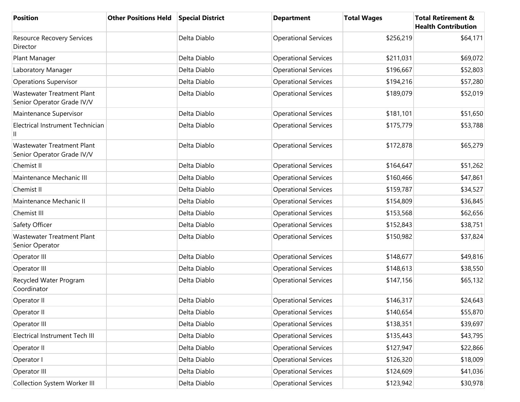| <b>Position</b>                                                 | <b>Other Positions Held</b> | <b>Special District</b> | <b>Department</b>           | <b>Total Wages</b> | <b>Total Retirement &amp;</b><br><b>Health Contribution</b> |
|-----------------------------------------------------------------|-----------------------------|-------------------------|-----------------------------|--------------------|-------------------------------------------------------------|
| Resource Recovery Services<br>Director                          |                             | Delta Diablo            | <b>Operational Services</b> | \$256,219          | \$64,171                                                    |
| Plant Manager                                                   |                             | Delta Diablo            | <b>Operational Services</b> | \$211,031          | \$69,072                                                    |
| Laboratory Manager                                              |                             | Delta Diablo            | <b>Operational Services</b> | \$196,667          | \$52,803                                                    |
| <b>Operations Supervisor</b>                                    |                             | Delta Diablo            | <b>Operational Services</b> | \$194,216          | \$57,280                                                    |
| <b>Wastewater Treatment Plant</b><br>Senior Operator Grade IV/V |                             | Delta Diablo            | <b>Operational Services</b> | \$189,079          | \$52,019                                                    |
| Maintenance Supervisor                                          |                             | Delta Diablo            | <b>Operational Services</b> | \$181,101          | \$51,650                                                    |
| Electrical Instrument Technician                                |                             | Delta Diablo            | <b>Operational Services</b> | \$175,779          | \$53,788                                                    |
| <b>Wastewater Treatment Plant</b><br>Senior Operator Grade IV/V |                             | Delta Diablo            | <b>Operational Services</b> | \$172,878          | \$65,279                                                    |
| Chemist II                                                      |                             | Delta Diablo            | <b>Operational Services</b> | \$164,647          | \$51,262                                                    |
| Maintenance Mechanic III                                        |                             | Delta Diablo            | <b>Operational Services</b> | \$160,466          | \$47,861                                                    |
| Chemist II                                                      |                             | Delta Diablo            | <b>Operational Services</b> | \$159,787          | \$34,527                                                    |
| Maintenance Mechanic II                                         |                             | Delta Diablo            | <b>Operational Services</b> | \$154,809          | \$36,845                                                    |
| Chemist III                                                     |                             | Delta Diablo            | <b>Operational Services</b> | \$153,568          | \$62,656                                                    |
| Safety Officer                                                  |                             | Delta Diablo            | <b>Operational Services</b> | \$152,843          | \$38,751                                                    |
| <b>Wastewater Treatment Plant</b><br>Senior Operator            |                             | Delta Diablo            | <b>Operational Services</b> | \$150,982          | \$37,824                                                    |
| Operator III                                                    |                             | Delta Diablo            | <b>Operational Services</b> | \$148,677          | \$49,816                                                    |
| Operator III                                                    |                             | Delta Diablo            | <b>Operational Services</b> | \$148,613          | \$38,550                                                    |
| Recycled Water Program<br>Coordinator                           |                             | Delta Diablo            | <b>Operational Services</b> | \$147,156          | \$65,132                                                    |
| Operator II                                                     |                             | Delta Diablo            | <b>Operational Services</b> | \$146,317          | \$24,643                                                    |
| Operator II                                                     |                             | Delta Diablo            | <b>Operational Services</b> | \$140,654          | \$55,870                                                    |
| Operator III                                                    |                             | Delta Diablo            | <b>Operational Services</b> | \$138,351          | \$39,697                                                    |
| Electrical Instrument Tech III                                  |                             | Delta Diablo            | <b>Operational Services</b> | \$135,443          | \$43,795                                                    |
| Operator II                                                     |                             | Delta Diablo            | <b>Operational Services</b> | \$127,947          | \$22,866                                                    |
| Operator I                                                      |                             | Delta Diablo            | <b>Operational Services</b> | \$126,320          | \$18,009                                                    |
| Operator III                                                    |                             | Delta Diablo            | <b>Operational Services</b> | \$124,609          | \$41,036                                                    |
| Collection System Worker III                                    |                             | Delta Diablo            | <b>Operational Services</b> | \$123,942          | \$30,978                                                    |